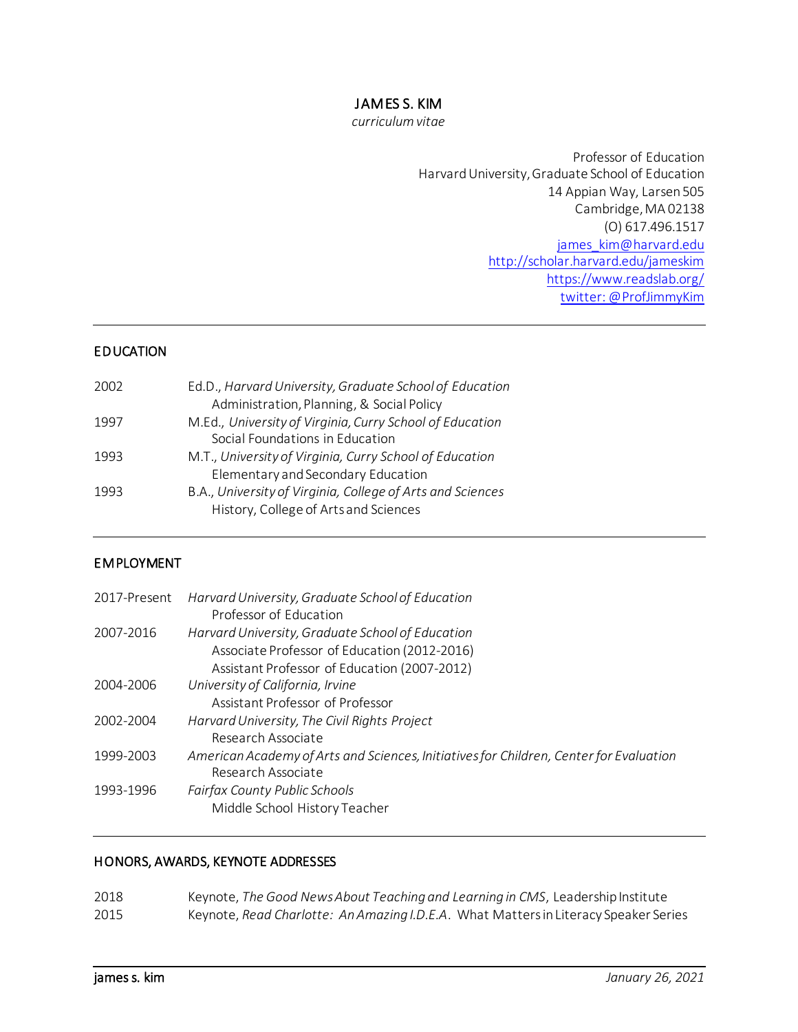# JAMES S. KIM

*curriculum vitae*

Professor of Education Harvard University, Graduate School of Education 14 Appian Way, Larsen 505 Cambridge, MA 02138 (O) 617.496.1517 [james\\_kim@harvard.edu](mailto:james_kim@harvard.edu) <http://scholar.harvard.edu/jameskim> <https://www.readslab.org/> twitter: @ProfJimmyKim

### EDUCATION

| 2002 | Ed.D., Harvard University, Graduate School of Education    |
|------|------------------------------------------------------------|
|      | Administration, Planning, & Social Policy                  |
| 1997 | M.Ed., University of Virginia, Curry School of Education   |
|      | Social Foundations in Education                            |
| 1993 | M.T., University of Virginia, Curry School of Education    |
|      | Elementary and Secondary Education                         |
| 1993 | B.A., University of Virginia, College of Arts and Sciences |
|      | History, College of Arts and Sciences                      |
|      |                                                            |

### EMPLOYMENT

| 2017-Present | Harvard University, Graduate School of Education<br>Professor of Education                                                                       |
|--------------|--------------------------------------------------------------------------------------------------------------------------------------------------|
| 2007-2016    | Harvard University, Graduate School of Education<br>Associate Professor of Education (2012-2016)<br>Assistant Professor of Education (2007-2012) |
| 2004-2006    | University of California, Irvine<br>Assistant Professor of Professor                                                                             |
| 2002-2004    | Harvard University, The Civil Rights Project<br>Research Associate                                                                               |
| 1999-2003    | American Academy of Arts and Sciences, Initiatives for Children, Center for Evaluation<br>Research Associate                                     |
| 1993-1996    | Fairfax County Public Schools<br>Middle School History Teacher                                                                                   |

### HONORS, AWARDS, KEYNOTE ADDRESSES

| 2018 | Keynote, The Good News About Teaching and Learning in CMS, Leadership Institute      |
|------|--------------------------------------------------------------------------------------|
| 2015 | Keynote, Read Charlotte: An Amazing I.D.E.A. What Matters in Literacy Speaker Series |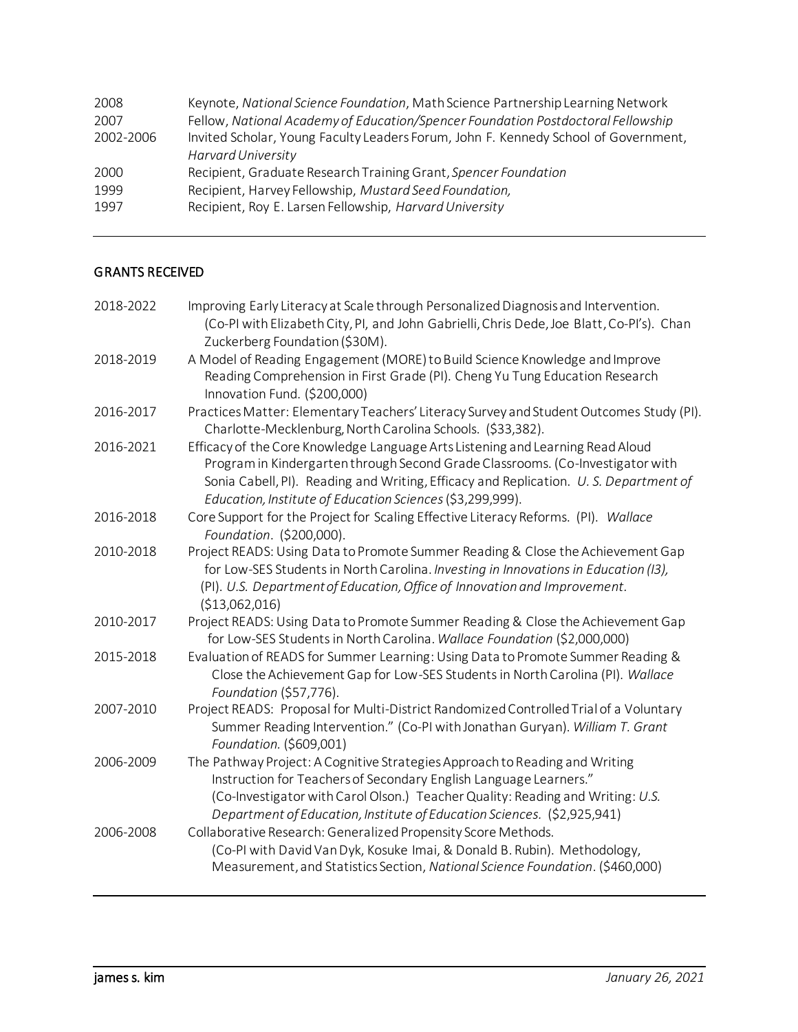| 2008      | Keynote, National Science Foundation, Math Science Partnership Learning Network     |
|-----------|-------------------------------------------------------------------------------------|
| 2007      | Fellow, National Academy of Education/Spencer Foundation Postdoctoral Fellowship    |
| 2002-2006 | Invited Scholar, Young Faculty Leaders Forum, John F. Kennedy School of Government, |
|           | <b>Harvard University</b>                                                           |
| 2000      | Recipient, Graduate Research Training Grant, Spencer Foundation                     |
| 1999      | Recipient, Harvey Fellowship, Mustard Seed Foundation,                              |
| 1997      | Recipient, Roy E. Larsen Fellowship, Harvard University                             |
|           |                                                                                     |

# GRANTS RECEIVED

| 2018-2022 | Improving Early Literacy at Scale through Personalized Diagnosis and Intervention.<br>(Co-PI with Elizabeth City, PI, and John Gabrielli, Chris Dede, Joe Blatt, Co-PI's). Chan<br>Zuckerberg Foundation (\$30M).                                                                                                     |
|-----------|-----------------------------------------------------------------------------------------------------------------------------------------------------------------------------------------------------------------------------------------------------------------------------------------------------------------------|
| 2018-2019 | A Model of Reading Engagement (MORE) to Build Science Knowledge and Improve<br>Reading Comprehension in First Grade (PI). Cheng Yu Tung Education Research<br>Innovation Fund. (\$200,000)                                                                                                                            |
| 2016-2017 | Practices Matter: Elementary Teachers' Literacy Survey and Student Outcomes Study (PI).<br>Charlotte-Mecklenburg, North Carolina Schools. (\$33,382).                                                                                                                                                                 |
| 2016-2021 | Efficacy of the Core Knowledge Language Arts Listening and Learning Read Aloud<br>Program in Kindergarten through Second Grade Classrooms. (Co-Investigator with<br>Sonia Cabell, PI). Reading and Writing, Efficacy and Replication. U.S. Department of<br>Education, Institute of Education Sciences (\$3,299,999). |
| 2016-2018 | Core Support for the Project for Scaling Effective Literacy Reforms. (PI). Wallace<br>Foundation. (\$200,000).                                                                                                                                                                                                        |
| 2010-2018 | Project READS: Using Data to Promote Summer Reading & Close the Achievement Gap<br>for Low-SES Students in North Carolina. Investing in Innovations in Education (13),<br>(PI). U.S. Department of Education, Office of Innovation and Improvement.<br>(\$13,062,016)                                                 |
| 2010-2017 | Project READS: Using Data to Promote Summer Reading & Close the Achievement Gap<br>for Low-SES Students in North Carolina. Wallace Foundation (\$2,000,000)                                                                                                                                                           |
| 2015-2018 | Evaluation of READS for Summer Learning: Using Data to Promote Summer Reading &<br>Close the Achievement Gap for Low-SES Students in North Carolina (PI). Wallace<br>Foundation (\$57,776).                                                                                                                           |
| 2007-2010 | Project READS: Proposal for Multi-District Randomized Controlled Trial of a Voluntary<br>Summer Reading Intervention." (Co-PI with Jonathan Guryan). William T. Grant<br>Foundation. (\$609,001)                                                                                                                      |
| 2006-2009 | The Pathway Project: A Cognitive Strategies Approach to Reading and Writing<br>Instruction for Teachers of Secondary English Language Learners."<br>(Co-Investigator with Carol Olson.) Teacher Quality: Reading and Writing: U.S.<br>Department of Education, Institute of Education Sciences. (\$2,925,941)         |
| 2006-2008 | Collaborative Research: Generalized Propensity Score Methods.<br>(Co-PI with David Van Dyk, Kosuke Imai, & Donald B. Rubin). Methodology,<br>Measurement, and Statistics Section, National Science Foundation. (\$460,000)                                                                                            |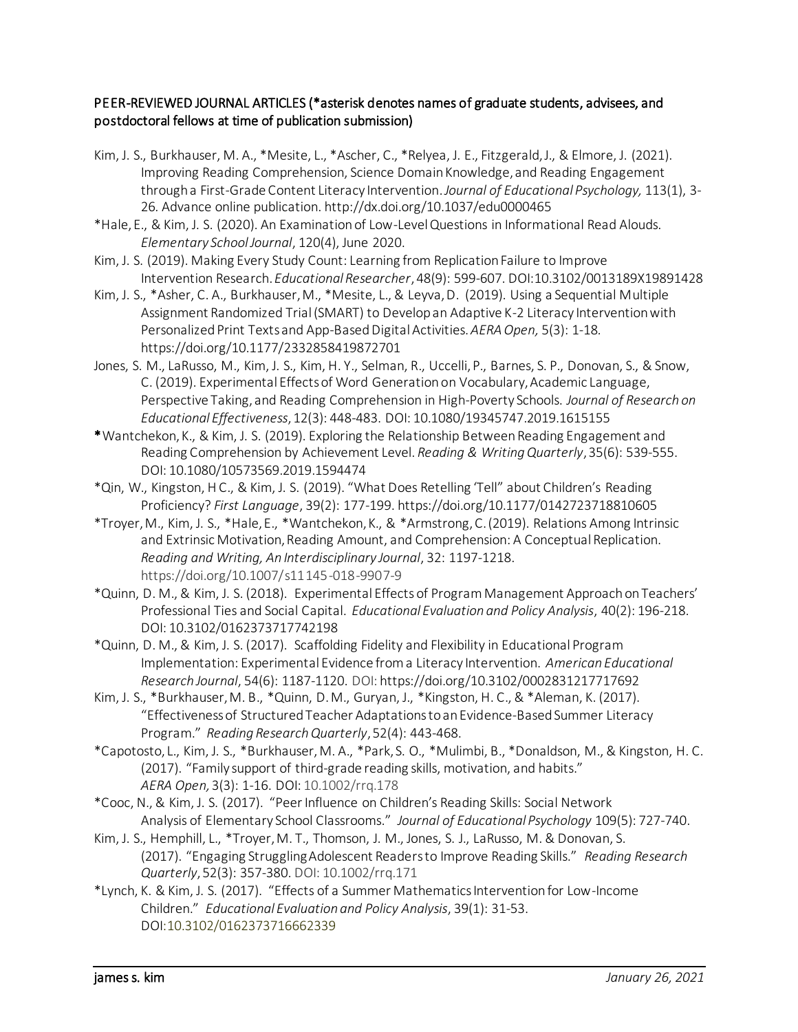### PEER-REVIEWED JOURNAL ARTICLES (\*asterisk denotes names of graduate students, advisees, and postdoctoral fellows at time of publication submission)

- Kim, J. S., Burkhauser, M. A., \*Mesite, L., \*Ascher, C., \*Relyea, J. E., Fitzgerald, J., & Elmore, J. (2021). Improving Reading Comprehension, Science Domain Knowledge, and Reading Engagement through a First-Grade Content Literacy Intervention. *Journal of Educational Psychology,* 113(1), 3- 26*.* Advance online publication. http://dx.doi.org/10.1037/edu0000465
- \*Hale, E., & Kim, J. S. (2020). An Examination of Low-Level Questions in Informational Read Alouds. *Elementary School Journal*, 120(4), June 2020.
- Kim, J. S. (2019). Making Every Study Count: Learning from Replication Failure to Improve Intervention Research. *Educational Researcher*, 48(9): 599-607. DOI:10.3102/0013189X19891428
- Kim, J. S., \*Asher, C. A., Burkhauser, M., \*Mesite, L., & Leyva, D. (2019). Using a Sequential Multiple Assignment Randomized Trial (SMART) to Develop an Adaptive K-2 Literacy Intervention with Personalized Print Texts and App-Based Digital Activities. *AERA Open,* 5(3): 1-18*.*  [https://doi.org/10.1177/2332858419872701](https://doi.org/10.1177%2F2332858419872701)
- Jones, S. M., LaRusso, M., Kim, J. S., Kim, H. Y., Selman, R., Uccelli, P., Barnes, S. P., Donovan, S., & Snow, C. (2019). Experimental Effects of Word Generation on Vocabulary, Academic Language, Perspective Taking, and Reading Comprehension in High-Poverty Schools. *Journal of Research on Educational Effectiveness*, 12(3): 448-483. DOI: 10.1080/19345747.2019.1615155
- \*Wantchekon, K., & Kim, J. S. (2019). Exploring the Relationship Between Reading Engagement and Reading Comprehension by Achievement Level. *Reading & Writing Quarterly*, 35(6): 539-555. DOI: 10.1080/10573569.2019.1594474
- \*Qin, W., Kingston, H C., & Kim, J. S. (2019). "What Does Retelling 'Tell" about Children's Reading Proficiency? *First Language*, 39(2): 177-199[. https://doi.org/10.1177/0142723718810605](https://doi.org/10.1177/0142723718810605)
- \*Troyer, M., Kim, J. S., \*Hale, E., \*Wantchekon, K., & \*Armstrong, C. (2019). Relations Among Intrinsic and Extrinsic Motivation, Reading Amount, and Comprehension: A Conceptual Replication. *Reading and Writing, An Interdisciplinary Journal*, 32: 1197-1218. https://doi.org/10.1007/s11145-018-9907-9
- \*Quinn, D. M., & Kim, J. S. (2018). Experimental Effects of Program Management Approach on Teachers' Professional Ties and Social Capital. *Educational Evaluation and Policy Analysis*, 40(2): 196-218. DOI: 10.3102/0162373717742198
- \*Quinn, D. M., & Kim, J. S. (2017). Scaffolding Fidelity and Flexibility in Educational Program Implementation: Experimental Evidence from a Literacy Intervention. *American Educational Research Journal*, 54(6): 1187-1120. DOI: <https://doi.org/10.3102/0002831217717692>
- Kim, J. S., \*Burkhauser, M. B., \*Quinn, D. M., Guryan, J., \*Kingston, H. C., & \*Aleman, K. (2017). "Effectiveness of Structured Teacher Adaptations to an Evidence-Based Summer Literacy Program." *Reading Research Quarterly*, 52(4): 443-468.
- \*Capotosto, L., Kim, J. S., \*Burkhauser, M. A., \*Park, S. O., \*Mulimbi, B., \*Donaldson, M., & Kingston, H. C. (2017). "Family support of third-grade reading skills, motivation, and habits." *AERA Open,* 3(3): 1-16. DOI: 10.1002/rrq.178
- \*Cooc, N., & Kim, J. S. (2017). "Peer Influence on Children's Reading Skills: Social Network Analysis of Elementary School Classrooms." *Journal of Educational Psychology* 109(5): 727-740.
- Kim, J. S., Hemphill, L., \*Troyer, M. T., Thomson, J. M., Jones, S. J., LaRusso, M. & Donovan, S. (2017). "Engaging Struggling Adolescent Readers to Improve Reading Skills." *Reading Research Quarterly*, 52(3): 357-380. DOI: 10.1002/rrq.171
- \*Lynch, K. & Kim, J. S. (2017). "Effects of a Summer Mathematics Intervention for Low-Income Children." *Educational Evaluation and Policy Analysis*, 39(1): 31-53. DOI:10.3102/0162373716662339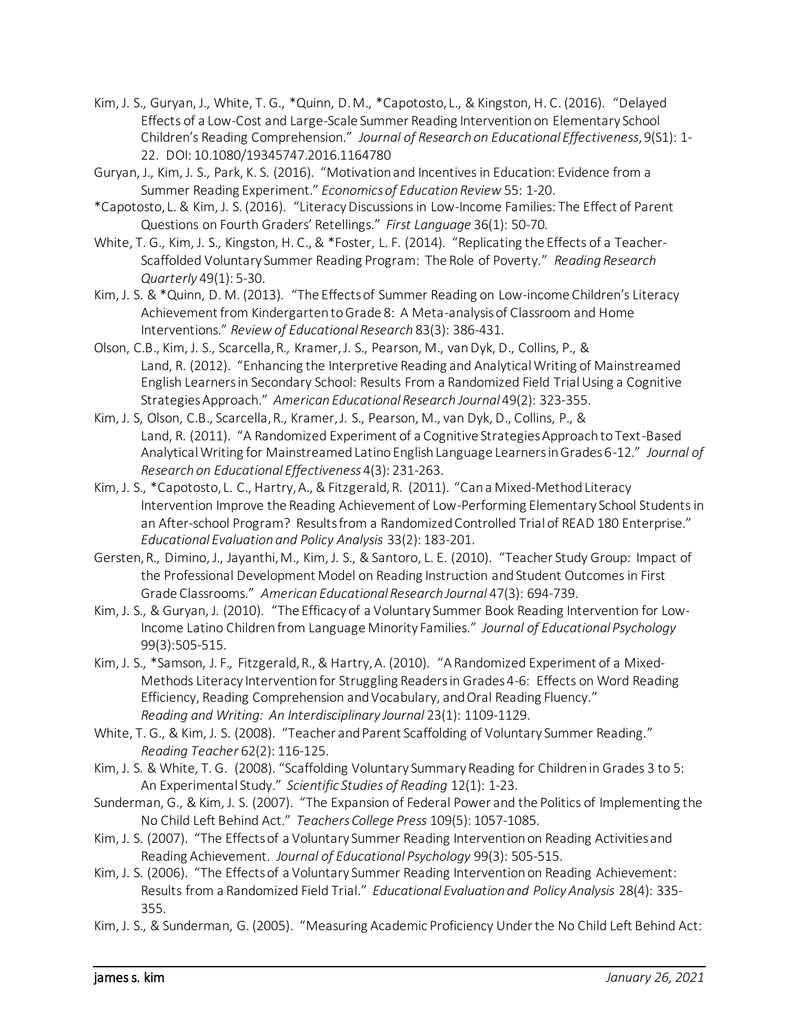- Kim, J. S., Guryan, J., White, T. G., \*Quinn, D. M., \*Capotosto, L., & Kingston, H. C. (2016). "Delayed Effects of a Low-Cost and Large-Scale Summer Reading Intervention on Elementary School Children's Reading Comprehension." *Journal of Research on Educational Effectiveness*, 9(S1): 1- 22. DOI: 10.1080/19345747.2016.1164780
- Guryan, J., Kim, J. S., Park, K. S. (2016). "Motivation and Incentives in Education: Evidence from a Summer Reading Experiment." *Economics of Education Review* 55: 1-20.
- \*Capotosto, L. & Kim, J. S. (2016). "Literacy Discussions in Low-Income Families: The Effect of Parent Questions on Fourth Graders' Retellings." *First Language* 36(1): 50-70*.*
- White, T. G., Kim, J. S., Kingston, H. C., & \*Foster, L. F. (2014). "Replicating the Effects of a Teacher-Scaffolded Voluntary Summer Reading Program: The Role of Poverty." *Reading Research Quarterly* 49(1): 5-30.
- Kim, J. S. & \*Quinn, D. M. (2013). "The Effects of Summer Reading on Low-income Children's Literacy Achievement from Kindergarten to Grade 8: A Meta-analysis of Classroom and Home Interventions." *Review of Educational Research* 83(3): 386-431.
- Olson, C.B., Kim, J. S., Scarcella, R*.,* Kramer, J. S., Pearson, M., van Dyk, D., Collins, P., & Land, R. (2012). "Enhancing the Interpretive Reading and Analytical Writing of Mainstreamed English Learners in Secondary School: Results From a Randomized Field Trial Using a Cognitive Strategies Approach." *American Educational Research Journal* 49(2): 323-355.
- Kim, J. S, Olson, C.B., Scarcella, R., Kramer, J. S., Pearson, M., van Dyk, D., Collins, P., & Land, R. (2011). "A Randomized Experiment of a Cognitive Strategies Approach to Text-Based Analytical Writing for Mainstreamed Latino English Language Learners in Grades 6-12." *Journal of Research on Educational Effectiveness* 4(3): 231-263.
- Kim, J. S., \*Capotosto, L. C., Hartry, A., & Fitzgerald, R. (2011). "Can a Mixed-Method Literacy Intervention Improve the Reading Achievement of Low-Performing Elementary School Students in an After-school Program? Results from a Randomized Controlled Trial of READ 180 Enterprise." *Educational Evaluation and Policy Analysis* 33(2): 183-201.
- Gersten, R., Dimino, J., Jayanthi, M., Kim, J. S., & Santoro, L. E. (2010). "Teacher Study Group: Impact of the Professional Development Model on Reading Instruction and Student Outcomes in First Grade Classrooms." *American Educational Research Journal* 47(3): 694-739.
- Kim, J. S., & Guryan, J. (2010). "The Efficacy of a Voluntary Summer Book Reading Intervention for Low-Income Latino Children from Language Minority Families." *Journal of Educational Psychology* 99(3):505-515.
- Kim, J. S., \*Samson, J. F.*,* Fitzgerald, R., & Hartry, A. (2010). "A Randomized Experiment of a Mixed-Methods Literacy Intervention for Struggling Readers in Grades 4-6: Effects on Word Reading Efficiency, Reading Comprehension and Vocabulary, and Oral Reading Fluency." *Reading and Writing: An Interdisciplinary Journal* 23(1): 1109-1129.
- White, T. G., & Kim, J. S. (2008). "Teacher and Parent Scaffolding of Voluntary Summer Reading." *Reading Teacher* 62(2): 116-125.
- Kim, J. S. & White, T. G. (2008). "Scaffolding Voluntary Summary Reading for Children in Grades 3 to 5: An Experimental Study." *Scientific Studies of Reading* 12(1): 1-23.
- Sunderman, G., & Kim, J. S. (2007). "The Expansion of Federal Power and the Politics of Implementing the No Child Left Behind Act." *Teachers College Press* 109(5): 1057-1085.
- Kim, J. S. (2007). "The Effects of a Voluntary Summer Reading Intervention on Reading Activities and Reading Achievement. *Journal of Educational Psychology* 99(3): 505-515.
- Kim, J. S. (2006). "The Effects of a Voluntary Summer Reading Intervention on Reading Achievement: Results from a Randomized Field Trial." *Educational Evaluation and Policy Analysis* 28(4): 335- 355.
- Kim, J. S., & Sunderman, G. (2005). "Measuring Academic Proficiency Under the No Child Left Behind Act: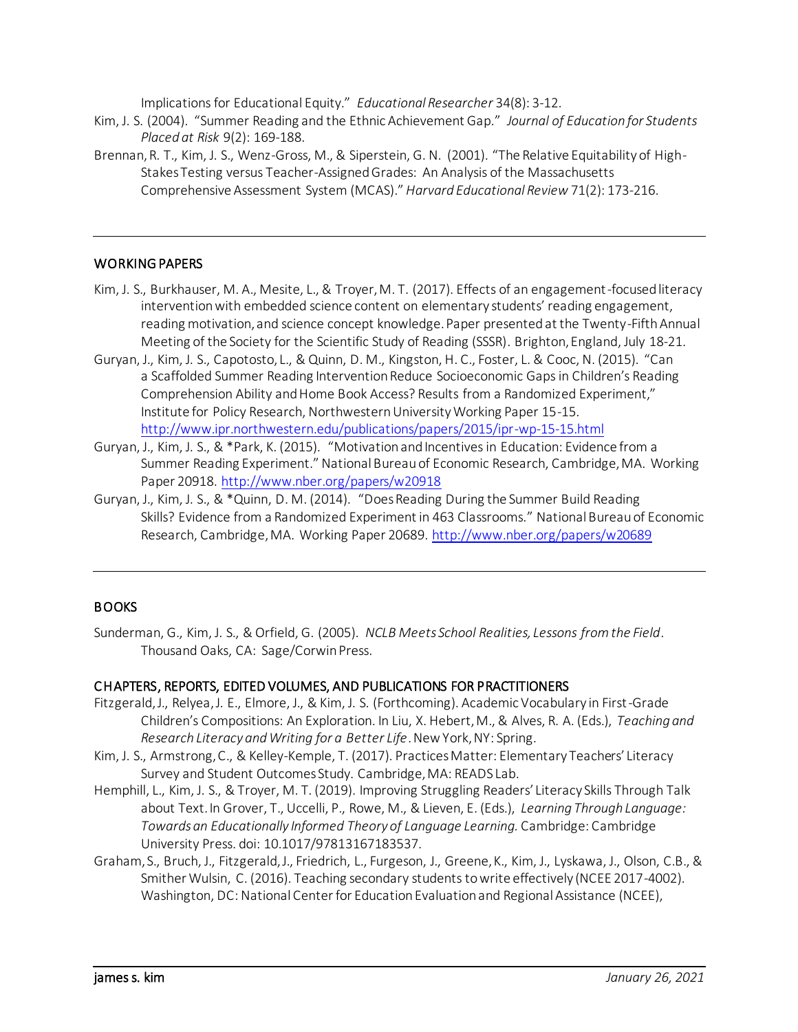Implications for Educational Equity." *Educational Researcher* 34(8): 3-12.

- Kim, J. S. (2004). "Summer Reading and the Ethnic Achievement Gap." *Journal of Education for Students Placed at Risk* 9(2): 169-188.
- Brennan, R. T., Kim, J. S., Wenz-Gross, M., & Siperstein, G. N. (2001). "The Relative Equitability of High-Stakes Testing versus Teacher-Assigned Grades: An Analysis of the Massachusetts Comprehensive Assessment System (MCAS)." *Harvard Educational Review* 71(2): 173-216.

#### WORKING PAPERS

- Kim, J. S., Burkhauser, M. A., Mesite, L., & Troyer, M. T. (2017). Effects of an engagement-focused literacy intervention with embedded science content on elementary students' reading engagement, reading motivation, and science concept knowledge. Paper presented at the Twenty-Fifth Annual Meeting of the Society for the Scientific Study of Reading (SSSR). Brighton, England, July 18-21.
- Guryan, J., Kim, J. S., Capotosto, L., & Quinn, D. M., Kingston, H. C., Foster, L. & Cooc, N. (2015). "Can a Scaffolded Summer Reading Intervention Reduce Socioeconomic Gaps in Children's Reading Comprehension Ability and Home Book Access? Results from a Randomized Experiment," Institute for Policy Research, Northwestern University Working Paper 15-15. <http://www.ipr.northwestern.edu/publications/papers/2015/ipr-wp-15-15.html>
- Guryan, J., Kim, J. S., & \*Park, K. (2015). "Motivation and Incentives in Education: Evidence from a Summer Reading Experiment." National Bureau of Economic Research, Cambridge, MA. Working Paper 20918.<http://www.nber.org/papers/w20918>
- Guryan, J., Kim, J. S., & \*Quinn, D. M. (2014). "Does Reading During the Summer Build Reading Skills? Evidence from a Randomized Experiment in 463 Classrooms." National Bureau of Economic Research, Cambridge, MA. Working Paper 20689.<http://www.nber.org/papers/w20689>

### **BOOKS**

Sunderman, G., Kim, J. S., & Orfield, G. (2005). *NCLB Meets School Realities, Lessons from the Field*. Thousand Oaks, CA: Sage/Corwin Press.

#### CHAPTERS, REPORTS, EDITED VOLUMES, AND PUBLICATIONS FOR PRACTITIONERS

- Fitzgerald, J., Relyea, J. E., Elmore, J., & Kim, J. S. (Forthcoming). Academic Vocabulary in First-Grade Children's Compositions: An Exploration. In Liu, X. Hebert, M., & Alves, R. A. (Eds.), *Teaching and Research Literacy and Writing for a Better Life*. New York, NY: Spring.
- Kim, J. S., Armstrong, C., & Kelley-Kemple, T. (2017). Practices Matter: Elementary Teachers' Literacy Survey and Student Outcomes Study. Cambridge, MA: READS Lab.
- Hemphill, L., Kim, J. S., & Troyer, M. T. (2019). Improving Struggling Readers' Literacy Skills Through Talk about Text. In Grover, T., Uccelli, P., Rowe, M., & Lieven, E. (Eds.), *Learning Through Language: Towards an Educationally Informed Theory of Language Learning.* Cambridge: Cambridge University Press. doi: 10.1017/97813167183537.
- Graham, S., Bruch, J., Fitzgerald, J., Friedrich, L., Furgeson, J., Greene, K., Kim, J., Lyskawa, J., Olson, C.B., & Smither Wulsin, C. (2016). Teaching secondary students to write effectively (NCEE 2017-4002). Washington, DC: National Center for Education Evaluation and Regional Assistance (NCEE),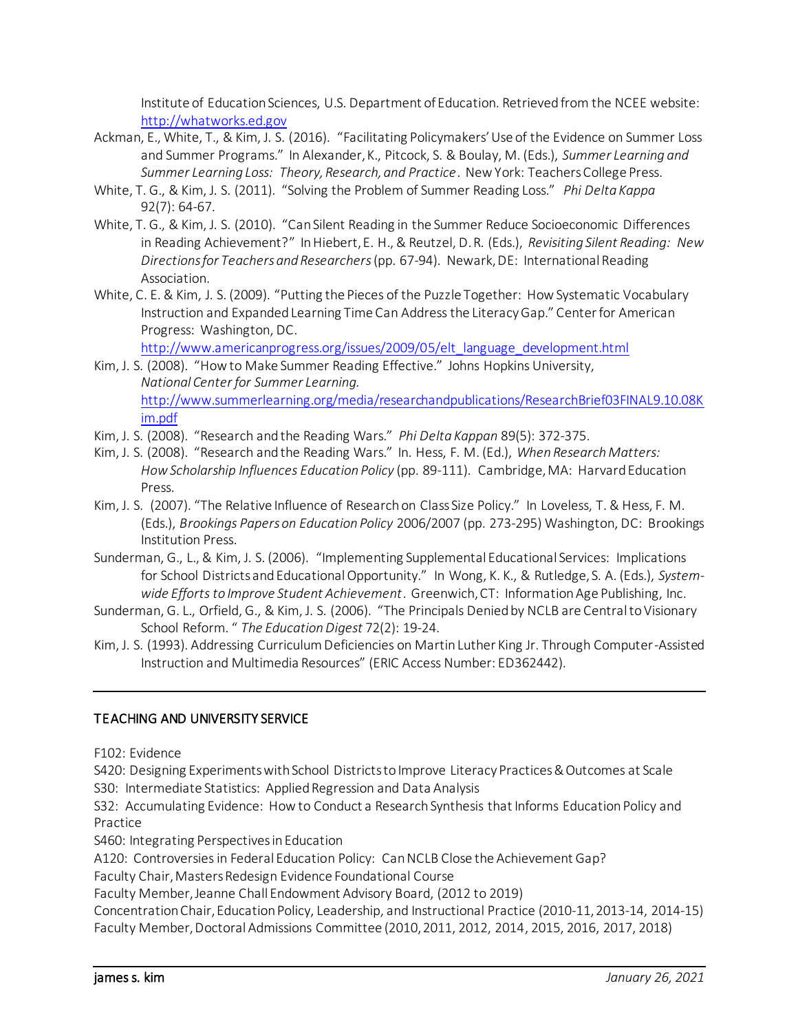Institute of Education Sciences, U.S. Department of Education. Retrieved from the NCEE website: [http://whatworks.ed.gov](http://whatworks.ed.gov/)

- Ackman, E., White, T., & Kim, J. S. (2016). "Facilitating Policymakers' Use of the Evidence on Summer Loss and Summer Programs." In Alexander, K., Pitcock, S. & Boulay, M. (Eds.), *Summer Learning and Summer Learning Loss: Theory, Research, and Practice*. New York: Teachers College Press.
- White, T. G., & Kim, J. S. (2011). "Solving the Problem of Summer Reading Loss." *Phi Delta Kappa* 92(7): 64-67.
- White, T. G., & Kim, J. S. (2010). "Can Silent Reading in the Summer Reduce Socioeconomic Differences in Reading Achievement?" In Hiebert, E. H., & Reutzel, D. R. (Eds.), *Revisiting Silent Reading: New Directions for Teachers and Researchers*(pp. 67-94). Newark, DE: International Reading Association.
- White, C. E. & Kim, J. S. (2009). "Putting the Pieces of the Puzzle Together: How Systematic Vocabulary Instruction and Expanded Learning Time Can Address the Literacy Gap." Center for American Progress: Washington, DC.

[http://www.americanprogress.org/issues/2009/05/elt\\_language\\_development.html](http://www.americanprogress.org/issues/2009/05/elt_language_development.html)

- Kim, J. S. (2008). "How to Make Summer Reading Effective." Johns Hopkins University, *National Center for Summer Learning.* [http://www.summerlearning.org/media/researchandpublications/ResearchBrief03FINAL9.10.08K](http://www.summerlearning.org/media/researchandpublications/ResearchBrief03FINAL9.10.08Kim.pdf) [im.pdf](http://www.summerlearning.org/media/researchandpublications/ResearchBrief03FINAL9.10.08Kim.pdf)
- Kim, J. S. (2008). "Research and the Reading Wars." *Phi Delta Kappan* 89(5): 372-375.
- Kim, J. S. (2008). "Research and the Reading Wars." In. Hess, F. M. (Ed.), *When Research Matters: How Scholarship Influences Education Policy* (pp. 89-111). Cambridge, MA: Harvard Education Press.
- Kim, J. S. (2007). "The Relative Influence of Research on Class Size Policy." In Loveless, T. & Hess, F. M. (Eds.), *Brookings Papers on Education Policy* 2006/2007 (pp. 273-295) Washington, DC: Brookings Institution Press.
- Sunderman, G., L., & Kim, J. S. (2006). "Implementing Supplemental Educational Services: Implications for School Districts and Educational Opportunity." In Wong, K. K., & Rutledge, S. A. (Eds.), *Systemwide Efforts to Improve Student Achievement*. Greenwich, CT: Information Age Publishing, Inc.
- Sunderman, G. L., Orfield, G., & Kim, J. S. (2006). "The Principals Denied by NCLB are Central to Visionary School Reform. " *The Education Digest* 72(2): 19-24.
- Kim, J. S. (1993). Addressing Curriculum Deficiencies on Martin Luther King Jr. Through Computer-Assisted Instruction and Multimedia Resources" (ERIC Access Number: ED362442).

### TEACHING AND UNIVERSITY SERVICE

F102: Evidence

S420: Designing Experiments with School Districts to Improve Literacy Practices & Outcomes at Scale

S30: Intermediate Statistics: Applied Regression and Data Analysis

S32: Accumulating Evidence: How to Conduct a Research Synthesis that Informs Education Policy and Practice

S460: Integrating Perspectives in Education

A120: Controversies in Federal Education Policy: Can NCLB Close the Achievement Gap?

Faculty Chair, Masters Redesign Evidence Foundational Course

Faculty Member, Jeanne Chall Endowment Advisory Board, (2012 to 2019)

Concentration Chair, Education Policy, Leadership, and Instructional Practice (2010-11, 2013-14, 2014-15) Faculty Member, Doctoral Admissions Committee (2010, 2011, 2012, 2014, 2015, 2016, 2017, 2018)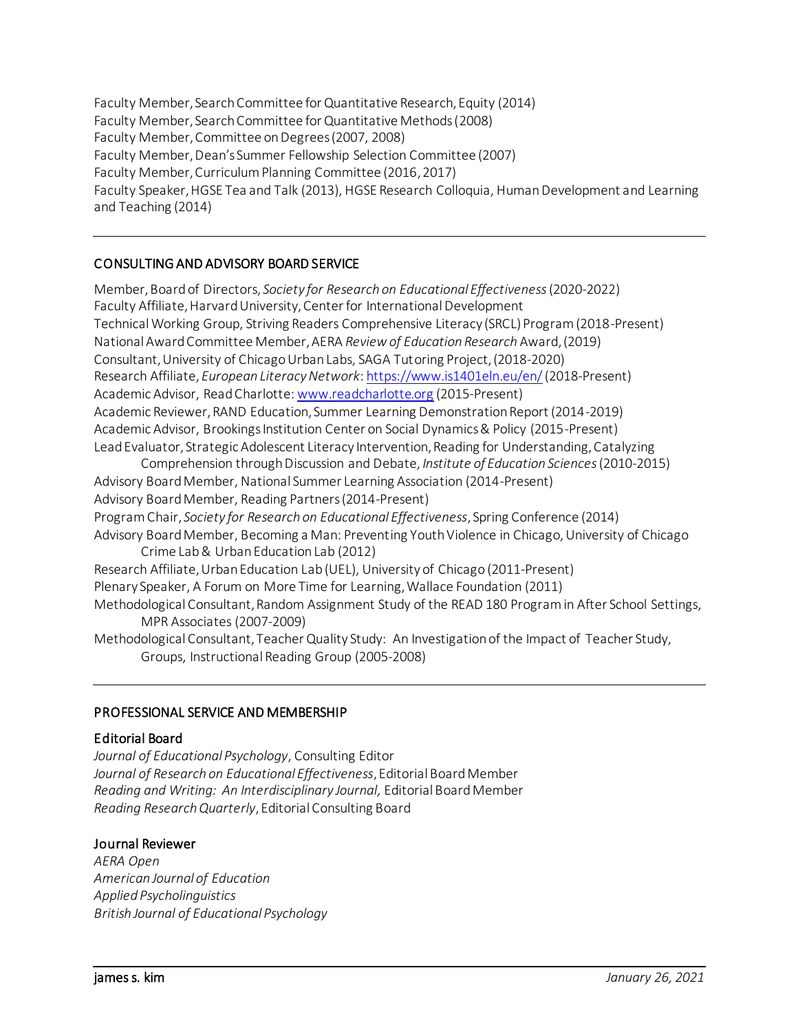Faculty Member, Search Committee for Quantitative Research, Equity (2014) Faculty Member, Search Committee for Quantitative Methods (2008) Faculty Member, Committee on Degrees (2007, 2008) Faculty Member, Dean's Summer Fellowship Selection Committee (2007) Faculty Member, Curriculum Planning Committee (2016, 2017) Faculty Speaker, HGSE Tea and Talk (2013), HGSE Research Colloquia, Human Development and Learning and Teaching (2014)

### CONSULTING AND ADVISORY BOARD SERVICE

Member, Board of Directors, *Society for Research on Educational Effectiveness*(2020-2022) Faculty Affiliate, Harvard University, Center for International Development Technical Working Group, Striving Readers Comprehensive Literacy (SRCL) Program (2018-Present) National Award Committee Member, AERA *Review of Education Research* Award, (2019) Consultant, University of Chicago Urban Labs, SAGA Tutoring Project, (2018-2020) Research Affiliate, *European Literacy Network*[: https://www.is1401eln.eu/en/](https://www.is1401eln.eu/en/)(2018-Present) Academic Advisor, Read Charlotte: [www.readcharlotte.org](http://www.readcharlotte.org/) (2015-Present) Academic Reviewer, RAND Education, Summer Learning Demonstration Report (2014-2019) Academic Advisor, Brookings Institution Center on Social Dynamics & Policy (2015-Present) Lead Evaluator, Strategic Adolescent Literacy Intervention, Reading for Understanding, Catalyzing Comprehension through Discussion and Debate, *Institute of Education Sciences*(2010-2015) Advisory Board Member, National Summer Learning Association (2014-Present) Advisory Board Member, Reading Partners (2014-Present) Program Chair, *Society for Research on Educational Effectiveness*, Spring Conference (2014) Advisory Board Member, Becoming a Man: Preventing Youth Violence in Chicago, University of Chicago Crime Lab & Urban Education Lab (2012) Research Affiliate, Urban Education Lab (UEL), University of Chicago (2011-Present) Plenary Speaker, A Forum on More Time for Learning, Wallace Foundation (2011) Methodological Consultant, Random Assignment Study of the READ 180 Program in After School Settings, MPR Associates (2007-2009) Methodological Consultant, Teacher Quality Study: An Investigation of the Impact of Teacher Study, Groups, Instructional Reading Group (2005-2008)

### PROFESSIONAL SERVICE AND MEMBERSHIP

### Editorial Board

*Journal of Educational Psychology*, Consulting Editor *Journal of Research on Educational Effectiveness*, Editorial Board Member *Reading and Writing: An Interdisciplinary Journal,* Editorial Board Member *Reading Research Quarterly*, Editorial Consulting Board

#### Journal Reviewer

*AERA Open American Journal of Education Applied Psycholinguistics British Journal of Educational Psychology*